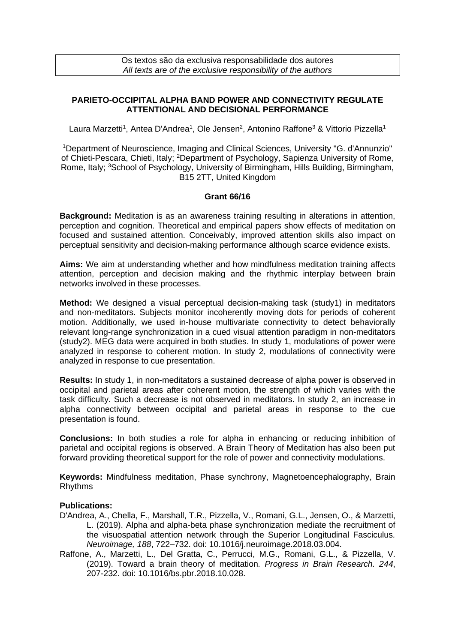Os textos são da exclusiva responsabilidade dos autores *All texts are of the exclusive responsibility of the authors*

## **PARIETO-OCCIPITAL ALPHA BAND POWER AND CONNECTIVITY REGULATE ATTENTIONAL AND DECISIONAL PERFORMANCE**

Laura Marzetti<sup>1</sup>, Antea D'Andrea<sup>1</sup>, Ole Jensen<sup>2</sup>, Antonino Raffone<sup>3</sup> & Vittorio Pizzella<sup>1</sup>

<sup>1</sup>Department of Neuroscience, Imaging and Clinical Sciences, University "G. d'Annunzio" of Chieti-Pescara, Chieti, Italy; <sup>2</sup>Department of Psychology, Sapienza University of Rome, Rome, Italy; <sup>3</sup>School of Psychology, University of Birmingham, Hills Building, Birmingham, B15 2TT, United Kingdom

## **Grant 66/16**

**Background:** Meditation is as an awareness training resulting in alterations in attention, perception and cognition. Theoretical and empirical papers show effects of meditation on focused and sustained attention. Conceivably, improved attention skills also impact on perceptual sensitivity and decision-making performance although scarce evidence exists.

**Aims:** We aim at understanding whether and how mindfulness meditation training affects attention, perception and decision making and the rhythmic interplay between brain networks involved in these processes.

**Method:** We designed a visual perceptual decision-making task (study1) in meditators and non-meditators. Subjects monitor incoherently moving dots for periods of coherent motion. Additionally, we used in-house multivariate connectivity to detect behaviorally relevant long-range synchronization in a cued visual attention paradigm in non-meditators (study2). MEG data were acquired in both studies. In study 1, modulations of power were analyzed in response to coherent motion. In study 2, modulations of connectivity were analyzed in response to cue presentation.

**Results:** In study 1, in non-meditators a sustained decrease of alpha power is observed in occipital and parietal areas after coherent motion, the strength of which varies with the task difficulty. Such a decrease is not observed in meditators. In study 2, an increase in alpha connectivity between occipital and parietal areas in response to the cue presentation is found.

**Conclusions:** In both studies a role for alpha in enhancing or reducing inhibition of parietal and occipital regions is observed. A Brain Theory of Meditation has also been put forward providing theoretical support for the role of power and connectivity modulations.

**Keywords:** Mindfulness meditation, Phase synchrony, Magnetoencephalography, Brain Rhythms

## **Publications:**

- D'Andrea, A., Chella, F., Marshall, T.R., Pizzella, V., Romani, G.L., Jensen, O., & Marzetti, L. (2019). Alpha and alpha-beta phase synchronization mediate the recruitment of the visuospatial attention network through the Superior Longitudinal Fasciculus*. Neuroimage, 188*, 722–732. doi: 10.1016/j.neuroimage.2018.03.004.
- Raffone, A., Marzetti, L., Del Gratta, C., Perrucci, M.G., Romani, G.L., & Pizzella, V. (2019). Toward a brain theory of meditation*. Progress in Brain Research. 244*, 207-232. doi: 10.1016/bs.pbr.2018.10.028.